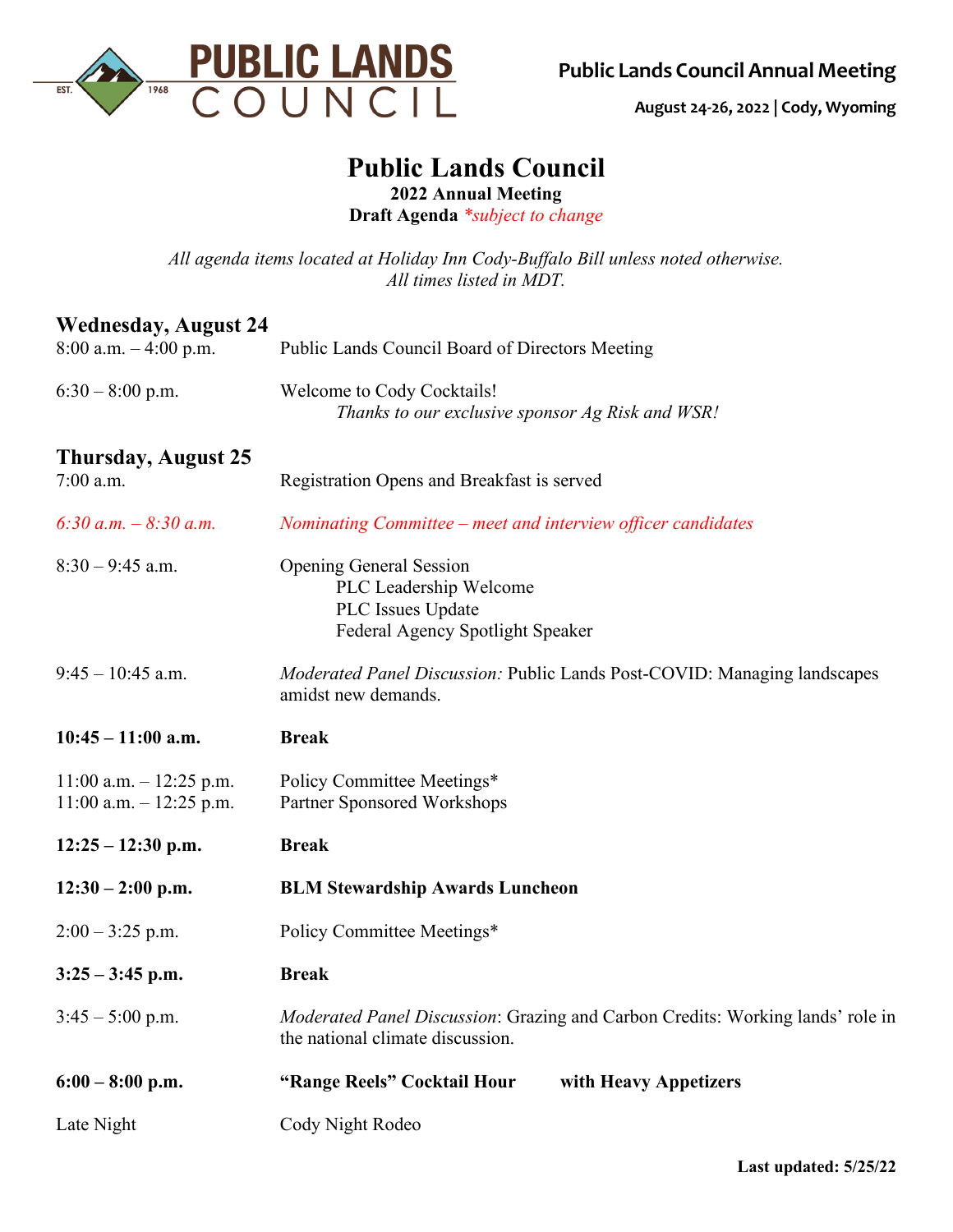

**August 24-26, 2022 | Cody, Wyoming** 

## **Public Lands Council**

**2022 Annual Meeting**

**Draft Agenda** *\*subject to change*

*All agenda items located at Holiday Inn Cody-Buffalo Bill unless noted otherwise. All times listed in MDT.*

## **Wednesday, August 24**

| $8:00$ a.m. $-4:00$ p.m.   | Public Lands Council Board of Directors Meeting                                                                    |
|----------------------------|--------------------------------------------------------------------------------------------------------------------|
| $6:30 - 8:00$ p.m.         | Welcome to Cody Cocktails!<br>Thanks to our exclusive sponsor Ag Risk and WSR!                                     |
| <b>Thursday, August 25</b> |                                                                                                                    |
| 7:00 a.m.                  | Registration Opens and Breakfast is served                                                                         |
| 6:30 a.m. $-8:30$ a.m.     | Nominating Committee – meet and interview officer candidates                                                       |
| $8:30 - 9:45$ a.m.         | <b>Opening General Session</b>                                                                                     |
|                            | PLC Leadership Welcome<br>PLC Issues Update                                                                        |
|                            | Federal Agency Spotlight Speaker                                                                                   |
| $9:45 - 10:45$ a.m.        | Moderated Panel Discussion: Public Lands Post-COVID: Managing landscapes                                           |
|                            | amidst new demands.                                                                                                |
| $10:45 - 11:00$ a.m.       | <b>Break</b>                                                                                                       |
| $11:00$ a.m. $-12:25$ p.m. | Policy Committee Meetings*                                                                                         |
| $11:00$ a.m. $-12:25$ p.m. | Partner Sponsored Workshops                                                                                        |
| $12:25 - 12:30$ p.m.       | <b>Break</b>                                                                                                       |
| $12:30 - 2:00$ p.m.        | <b>BLM Stewardship Awards Luncheon</b>                                                                             |
| $2:00 - 3:25$ p.m.         | Policy Committee Meetings*                                                                                         |
| $3:25 - 3:45$ p.m.         | <b>Break</b>                                                                                                       |
| $3:45 - 5:00$ p.m.         | Moderated Panel Discussion: Grazing and Carbon Credits: Working lands' role in<br>the national climate discussion. |
| $6:00 - 8:00$ p.m.         | "Range Reels" Cocktail Hour<br>with Heavy Appetizers                                                               |
| Late Night                 | Cody Night Rodeo                                                                                                   |